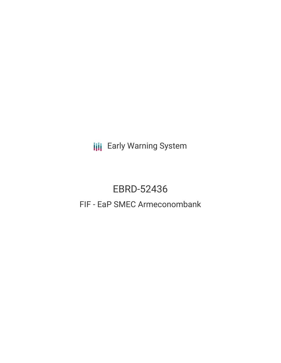**III** Early Warning System

# EBRD-52436 FIF - EaP SMEC Armeconombank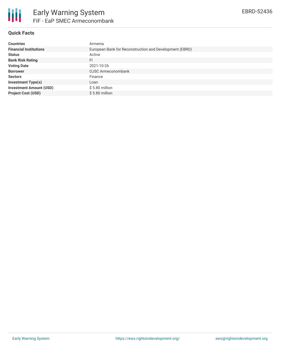

# **Quick Facts**

| <b>Countries</b>               | Armenia                                                 |
|--------------------------------|---------------------------------------------------------|
| <b>Financial Institutions</b>  | European Bank for Reconstruction and Development (EBRD) |
| <b>Status</b>                  | Active                                                  |
| <b>Bank Risk Rating</b>        | FI                                                      |
| <b>Voting Date</b>             | 2021-10-26                                              |
| <b>Borrower</b>                | OJSC Armeconombank                                      |
| <b>Sectors</b>                 | Finance                                                 |
| <b>Investment Type(s)</b>      | Loan                                                    |
| <b>Investment Amount (USD)</b> | $$5.80$ million                                         |
| <b>Project Cost (USD)</b>      | $$5.80$ million                                         |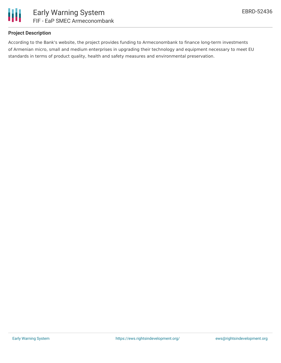

## **Project Description**

According to the Bank's website, the project provides funding to Armeconombank to finance long-term investments of Armenian micro, small and medium enterprises in upgrading their technology and equipment necessary to meet EU standards in terms of product quality, health and safety measures and environmental preservation.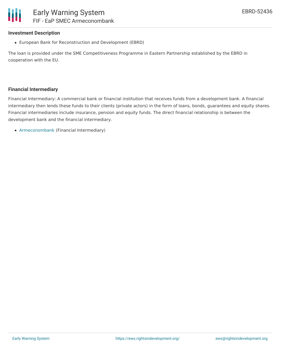#### **Investment Description**

European Bank for Reconstruction and Development (EBRD)

The loan is provided under the SME Competitiveness Programme in Eastern Partnership established by the EBRD in cooperation with the EU.

#### **Financial Intermediary**

Financial Intermediary: A commercial bank or financial institution that receives funds from a development bank. A financial intermediary then lends these funds to their clients (private actors) in the form of loans, bonds, guarantees and equity shares. Financial intermediaries include insurance, pension and equity funds. The direct financial relationship is between the development bank and the financial intermediary.

[Armeconombank](file:///actor/2133/) (Financial Intermediary)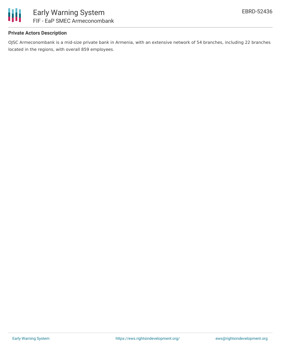

## **Private Actors Description**

OJSC Armeconombank is a mid-size private bank in Armenia, with an extensive network of 54 branches, including 22 branches located in the regions, with overall 859 employees.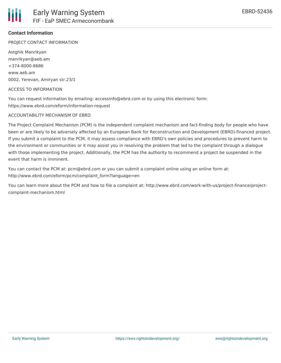## **Contact Information**

PROJECT CONTACT INFORMATION

Astghik Manrikyan manrikyan@aeb.am +374-8000-8686 www.aeb.am 0002, Yerevan, Amiryan str.23/1

#### ACCESS TO INFORMATION

You can request information by emailing: accessinfo@ebrd.com or by using this electronic form: https://www.ebrd.com/eform/information-request

#### ACCOUNTABILITY MECHANISM OF EBRD

The Project Complaint Mechanism (PCM) is the independent complaint mechanism and fact-finding body for people who have been or are likely to be adversely affected by an European Bank for Reconstruction and Development (EBRD)-financed project. If you submit a complaint to the PCM, it may assess compliance with EBRD's own policies and procedures to prevent harm to the environment or communities or it may assist you in resolving the problem that led to the complaint through a dialogue with those implementing the project. Additionally, the PCM has the authority to recommend a project be suspended in the event that harm is imminent.

You can contact the PCM at: pcm@ebrd.com or you can submit a complaint online using an online form at: http://www.ebrd.com/eform/pcm/complaint\_form?language=en

You can learn more about the PCM and how to file a complaint at: http://www.ebrd.com/work-with-us/project-finance/projectcomplaint-mechanism.html